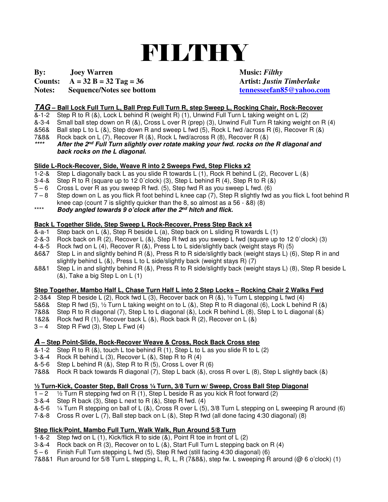# FILTHY

# **By:** Joey Warren Music: *Filthy*

#### **Counts:**  $A = 32 B = 32 Tag = 36$  Artist: *Justin Timberlake*

# **Notes:** Sequence/Notes see bottom tennesseefan85@yahoo.com

## **TAG – Ball Lock Full Turn L, Ball Prep Full Turn R, step Sweep L, Rocking Chair, Rock-Recover**

- &-1-2 Step R to R (&), Lock L behind R (weight R) (1), Unwind Full Turn L taking weight on L (2)
- Small ball step down on R (&), Cross L over R (prep) (3), Unwind Full Turn R taking weight on R (4)
- &56& Ball step L to L (&), Step down R and sweep L fwd (5), Rock L fwd /across R (6), Recover R (&)
- 7&8& Rock back on L (7), Recover R (&), Rock L fwd/across R (8), Recover R (&)

**\*\*\*\* After the 2nd Full Turn slightly over rotate making your fwd. rocks on the R diagonal and back rocks on the L diagonal.** 

# **Slide L-Rock-Recover, Side, Weave R into 2 Sweeps Fwd, Step Flicks x2**

- 1-2-& Step L diagonally back L as you slide R towards L (1), Rock R behind L (2), Recover L (&)
- 3-4-& Step R to R (square up to 12 0´clock) (3), Step L behind R (4), Step R to R (&)
- 5 6 Cross L over R as you sweep R fwd. (5), Step fwd R as you sweep L fwd. (6)
- 7 8 Step down on L as you flick R foot behind L knee cap (7), Step R slightly fwd as you flick L foot behind R knee cap (count 7 is slightly quicker than the 8, so almost as a 56 -  $\&80$ ) (8)
- \*\*\*\* **Body angled towards 9 o'clock after the 2nd hitch and flick.**

## **Back L Together Slide, Step Sweep L Rock-Recover, Press Step Back x4**

- $\alpha$ -a-1 Step back on L  $(\alpha)$ , Step R beside L  $(a)$ , Step back on L sliding R towards L  $(1)$
- 2-&-3 Rock back on R (2), Recover L (&), Step R fwd as you sweep L fwd (square up to 12 0`clock) (3)
- 4-&-5 Rock fwd on L (4), Recover R (&), Press L to L side/slightly back (weight stays R) (5)
- &6&7 Step L in and slightly behind R (&), Press R to R side/slightly back (weight stays L) (6), Step R in and slightly behind L  $(8)$ , Press L to L side/slightly back (weight stays R) (7)
- &8&1 Step L in and slightly behind R (&), Press R to R side/slightly back (weight stays L) (8), Step R beside L (&), Take a big Step L on L (1)

# **Step Together, Mambo Half L, Chase Turn Half L into 2 Step Locks – Rocking Chair 2 Walks Fwd** 2-3&4 Step R beside L (2), Rock fwd L (3), Recover back on R (&), 1/2 Turn L stepping L fwd (4)

- Step R beside L (2), Rock fwd L (3), Recover back on R (8),  $\frac{1}{2}$  Turn L stepping L fwd (4)
- 5&6& Step R fwd (5), ½ Turn L taking weight on to L (&), Step R to R diagonal (6), Lock L behind R (&)
- 7&8& Step R to R diagonal (7), Step L to L diagonal (&), Lock R behind L (8), Step L to L diagonal (&)
- 1&2& Rock fwd R (1), Recover back L (&), Rock back R (2), Recover on L (&)
- $3 4$  Step R Fwd (3), Step L Fwd (4)

## **A – Step Point-Slide, Rock-Recover Weave & Cross, Rock Back Cross step**

- &-1-2 Step R to R  $(8)$ , touch L toe behind R  $(1)$ , Step L to L as you slide R to L  $(2)$
- 
- 3-&-4 Rock R behind L (3), Recover L (&), Step R to R (4)<br>&-5-6 Step L behind R (&), Step R to R (5), Cross L over R Step L behind R  $(8)$ , Step R to R  $(5)$ , Cross L over R  $(6)$
- 7&8& Rock R back towards R diagonal (7), Step L back (&), cross R over L (8), Step L slightly back (&)

# **½ Turn-Kick, Coaster Step, Ball Cross ¼ Turn, 3/8 Turn w/ Sweep, Cross Ball Step Diagonal**

- $1/2$  Turn R stepping fwd on R (1), Step L beside R as you kick R foot forward (2)
- 3-&-4 Step R back (3), Step L next to R  $(8)$ , Step R fwd.  $(4)$ <br>&-5-6  $\frac{1}{4}$  Turn R stepping on ball of L  $(8)$ . Cross R over L  $(5)$
- $\frac{1}{4}$  Turn R stepping on ball of L (&), Cross R over L (5), 3/8 Turn L stepping on L sweeping R around (6)
- 7-&-8 Cross R over L (7), Ball step back on L (&), Step R fwd (all done facing 4:30 diagonal) (8)

## **Step flick/Point, Mambo Full Turn, Walk Walk, Run Around 5/8 Turn**

- 1-&-2 Step fwd on L (1), Kick/flick R to side (&), Point R toe in front of L (2)
- 3-&-4 Rock back on R (3), Recover on to L (&), Start Full Turn L stepping back on R (4)
- 5 6 Finish Full Turn stepping L fwd (5), Step R fwd (still facing 4:30 diagonal) (6)
- 7&8&1 Run around for 5/8 Turn L stepping L, R, L, R (7&8&), step fw. L sweeping R around (@ 6 o'clock) (1)